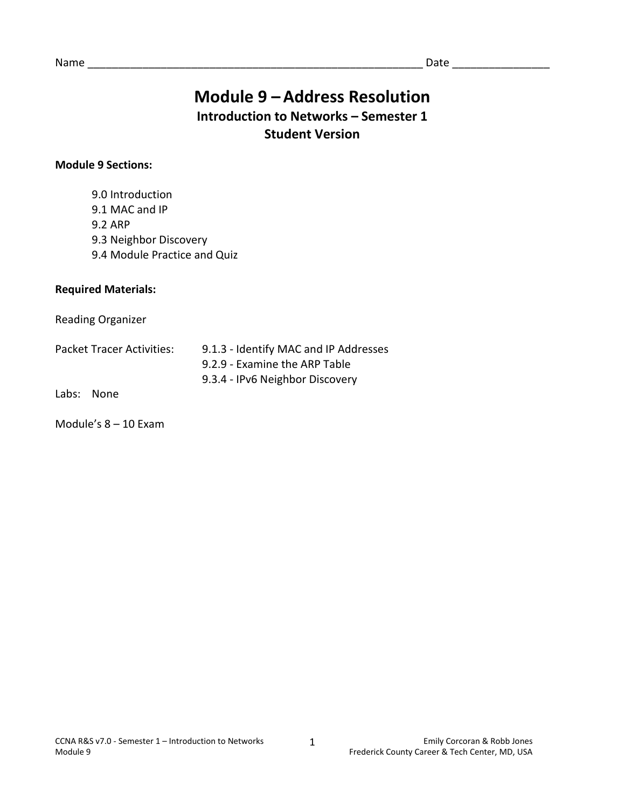# **Module 9 –Address Resolution Introduction to Networks – Semester 1 Student Version**

#### **Module 9 Sections:**

- 9.0 Introduction
- 9.1 MAC and IP
- 9.2 ARP
- 9.3 Neighbor Discovery
- 9.4 Module Practice and Quiz

#### **Required Materials:**

Reading Organizer

| Packet Tracer Activities: | 9.1.3 - Identify MAC and IP Addresses |  |  |
|---------------------------|---------------------------------------|--|--|
|                           | 9.2.9 - Examine the ARP Table         |  |  |
|                           | 9.3.4 - IPv6 Neighbor Discovery       |  |  |

Labs: None

Module's 8 – 10 Exam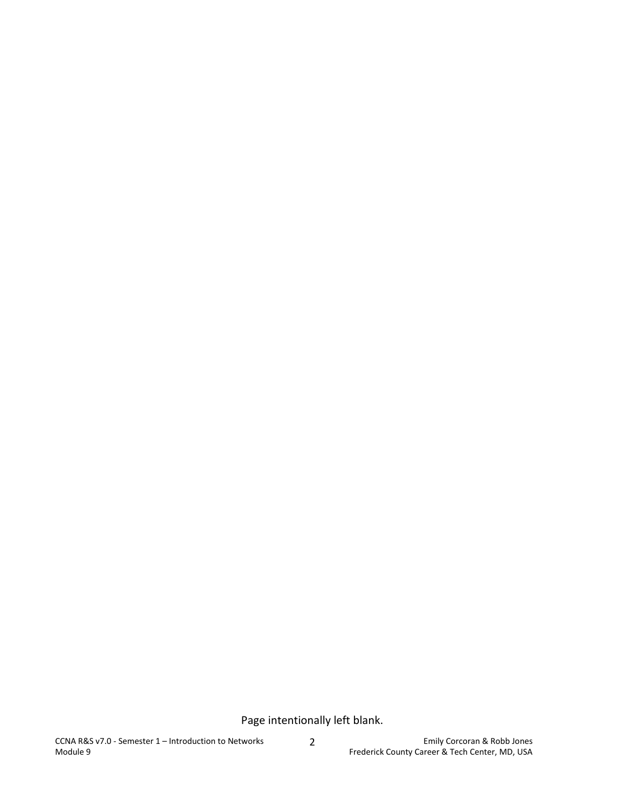Page intentionally left blank.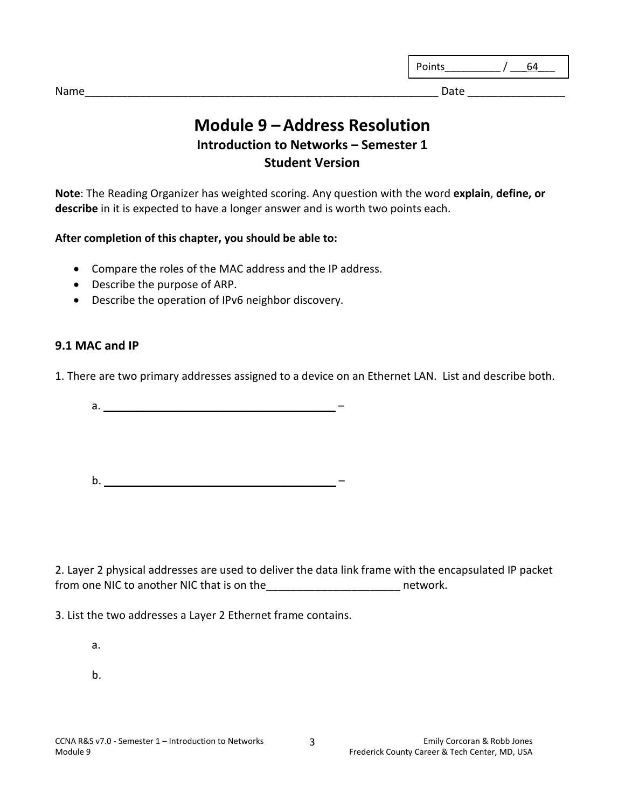| POINTS |  |
|--------|--|
|        |  |

# **Module 9 –Address Resolution Introduction to Networks – Semester 1 Student Version**

**Note**: The Reading Organizer has weighted scoring. Any question with the word **explain**, **define, or describe** in it is expected to have a longer answer and is worth two points each.

### **After completion of this chapter, you should be able to:**

- Compare the roles of the MAC address and the IP address.
- Describe the purpose of ARP.
- Describe the operation of IPv6 neighbor discovery.

## **9.1 MAC and IP**

1. There are two primary addresses assigned to a device on an Ethernet LAN. List and describe both.

a.  $-$ 

 $b.$   $-$ 

2. Layer 2 physical addresses are used to deliver the data link frame with the encapsulated IP packet from one NIC to another NIC that is on the Theorem 2011 and the metwork.

3. List the two addresses a Layer 2 Ethernet frame contains.

- a.
- b.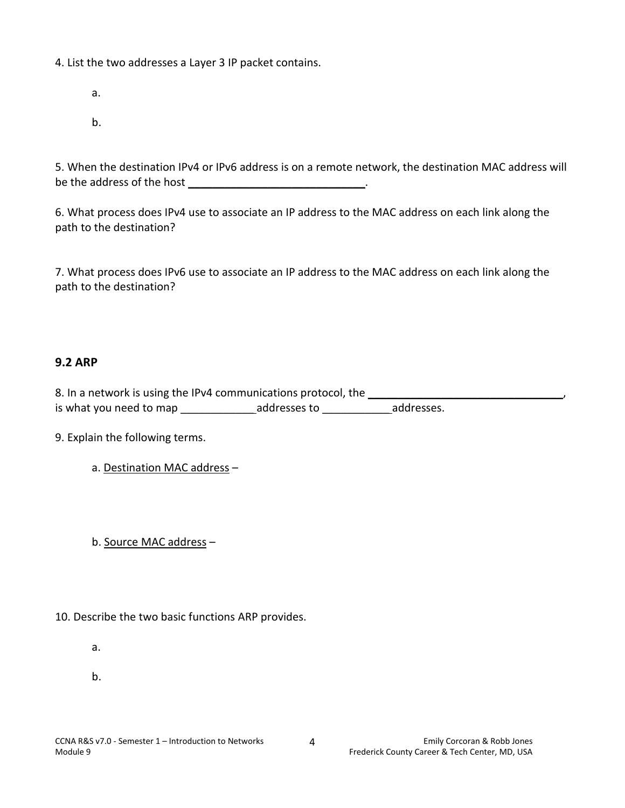4. List the two addresses a Layer 3 IP packet contains.

- a.
- b.

5. When the destination IPv4 or IPv6 address is on a remote network, the destination MAC address will be the address of the host \_\_\_\_\_\_\_\_\_\_\_\_\_\_\_\_\_\_\_\_\_\_\_\_\_\_\_\_\_.

6. What process does IPv4 use to associate an IP address to the MAC address on each link along the path to the destination?

7. What process does IPv6 use to associate an IP address to the MAC address on each link along the path to the destination?

### **9.2 ARP**

8. In a network is using the IPv4 communications protocol, the \_\_\_\_\_\_\_\_\_\_\_\_\_\_\_\_\_ is what you need to map \_\_\_\_\_\_\_\_\_\_\_\_\_\_\_\_\_ addresses to \_\_\_\_\_\_\_\_\_\_\_\_\_\_\_ addresses.

9. Explain the following terms.

a. Destination MAC address –

b. Source MAC address –

- 10. Describe the two basic functions ARP provides.
	- a.
	- b.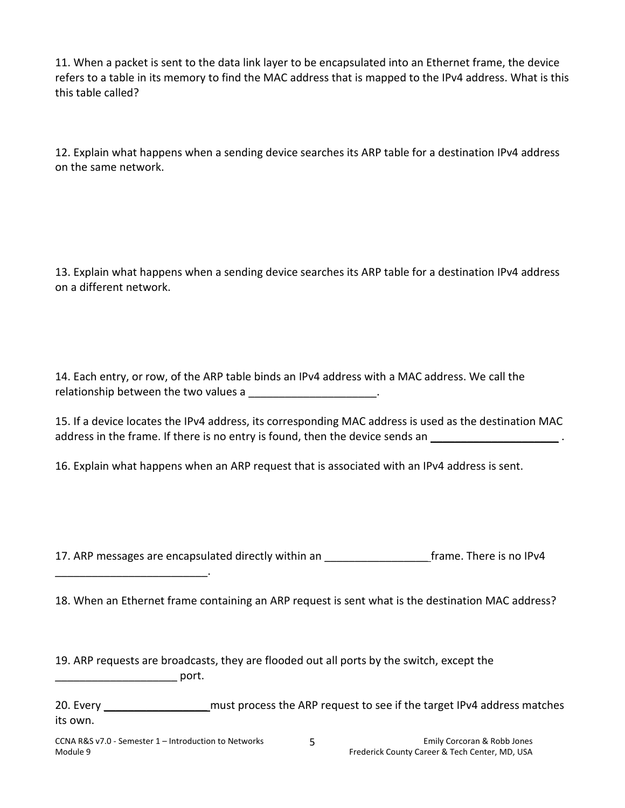11. When a packet is sent to the data link layer to be encapsulated into an Ethernet frame, the device refers to a table in its memory to find the MAC address that is mapped to the IPv4 address. What is this this table called?

12. Explain what happens when a sending device searches its ARP table for a destination IPv4 address on the same network.

13. Explain what happens when a sending device searches its ARP table for a destination IPv4 address on a different network.

14. Each entry, or row, of the ARP table binds an IPv4 address with a MAC address. We call the relationship between the two values a \_\_\_\_\_\_\_\_\_\_\_\_\_\_\_\_\_\_\_\_\_.

15. If a device locates the IPv4 address, its corresponding MAC address is used as the destination MAC address in the frame. If there is no entry is found, then the device sends an \_\_\_\_\_\_\_\_\_\_\_\_\_\_\_\_\_\_\_\_\_\_\_\_\_\_.

16. Explain what happens when an ARP request that is associated with an IPv4 address is sent.

17. ARP messages are encapsulated directly within an \_\_\_\_\_\_\_\_\_\_\_\_\_\_\_\_\_\_\_\_\_\_\_\_\_\_frame. There is no IPv4

18. When an Ethernet frame containing an ARP request is sent what is the destination MAC address?

19. ARP requests are broadcasts, they are flooded out all ports by the switch, except the  $\blacksquare$  port.

20. Every \_\_\_\_\_\_\_\_\_\_\_\_\_\_\_\_\_\_\_\_\_\_\_\_\_\_\_must process the ARP request to see if the target IPv4 address matches its own.

 $\mathcal{L}_\text{max}$  , where  $\mathcal{L}_\text{max}$  and  $\mathcal{L}_\text{max}$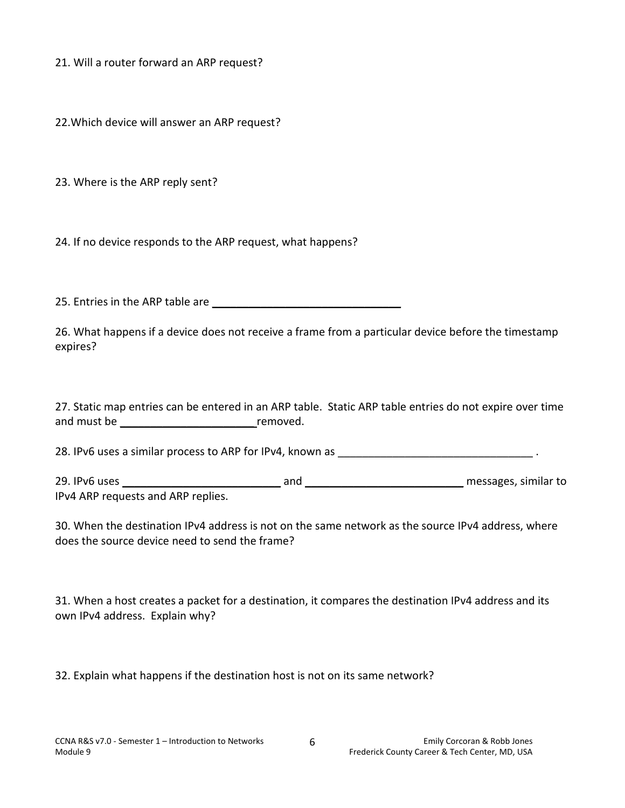21. Will a router forward an ARP request?

22.Which device will answer an ARP request?

23. Where is the ARP reply sent?

24. If no device responds to the ARP request, what happens?

25. Entries in the ARP table are \_\_\_\_\_\_\_\_\_\_\_\_\_\_\_\_\_\_\_\_\_\_\_\_\_\_\_\_\_\_\_

26. What happens if a device does not receive a frame from a particular device before the timestamp expires?

27. Static map entries can be entered in an ARP table. Static ARP table entries do not expire over time and must be example and must be a set of the set of the removed.

28. IPv6 uses a similar process to ARP for IPv4, known as \_\_\_\_\_\_\_\_\_\_\_\_\_\_\_\_\_\_\_\_\_\_

29. IPv6 uses \_\_\_\_\_\_\_\_\_\_\_\_\_\_\_\_\_\_\_\_\_\_\_\_\_\_ and \_\_\_\_\_\_\_\_\_\_\_\_\_\_\_\_\_\_\_\_\_\_\_\_\_\_ messages, similar to IPv4 ARP requests and ARP replies.

30. When the destination IPv4 address is not on the same network as the source IPv4 address, where does the source device need to send the frame?

31. When a host creates a packet for a destination, it compares the destination IPv4 address and its own IPv4 address. Explain why?

32. Explain what happens if the destination host is not on its same network?

6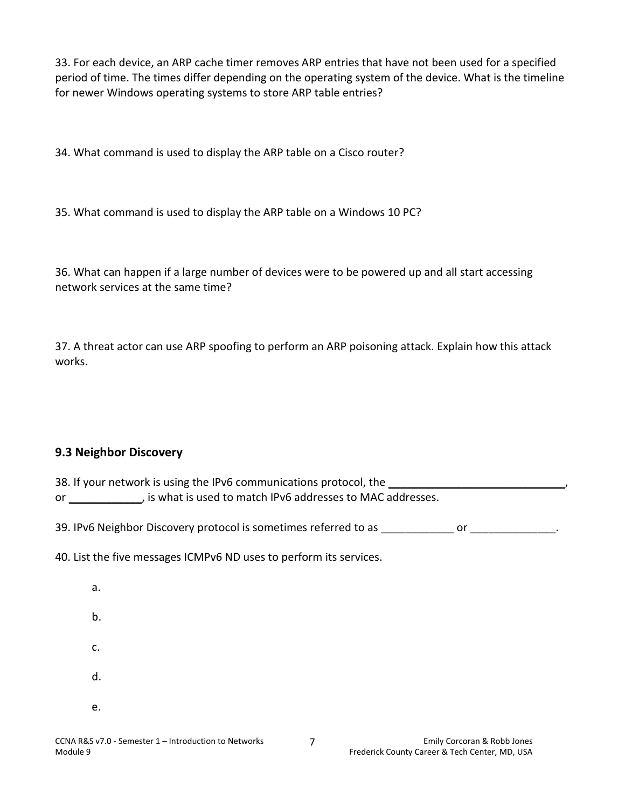33. For each device, an ARP cache timer removes ARP entries that have not been used for a specified period of time. The times differ depending on the operating system of the device. What is the timeline for newer Windows operating systems to store ARP table entries?

34. What command is used to display the ARP table on a Cisco router?

35. What command is used to display the ARP table on a Windows 10 PC?

36. What can happen if a large number of devices were to be powered up and all start accessing network services at the same time?

37. A threat actor can use ARP spoofing to perform an ARP poisoning attack. Explain how this attack works.

### **9.3 Neighbor Discovery**

38. If your network is using the IPv6 communications protocol, the or \_\_\_\_\_\_\_\_\_\_\_\_, is what is used to match IPv6 addresses to MAC addresses.

39. IPv6 Neighbor Discovery protocol is sometimes referred to as \_\_\_\_\_\_\_\_\_\_\_\_ or \_\_\_\_\_\_\_\_\_\_\_\_\_.

40. List the five messages ICMPv6 ND uses to perform its services.

| а. |  |  |  |
|----|--|--|--|
| b. |  |  |  |
| c. |  |  |  |
| d. |  |  |  |
| e. |  |  |  |
|    |  |  |  |